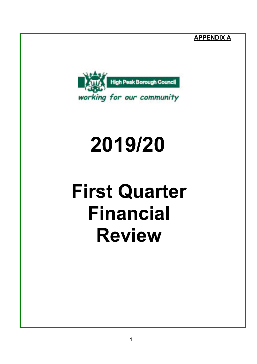**APPENDIX A**



# **2019/20**

## **First Quarter Financial Review**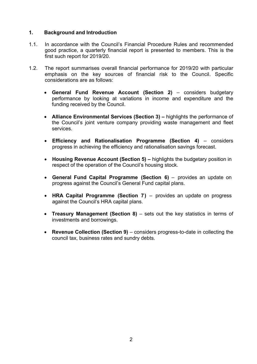#### **1. Background and Introduction**

- 1.1. In accordance with the Council's Financial Procedure Rules and recommended good practice, a quarterly financial report is presented to members. This is the first such report for 2019/20.
- 1.2. The report summarises overall financial performance for 2019/20 with particular emphasis on the key sources of financial risk to the Council. Specific considerations are as follows:
	- **General Fund Revenue Account (Section 2)** considers budgetary performance by looking at variations in income and expenditure and the funding received by the Council.
	- **Alliance Environmental Services (Section 3) –** highlights the performance of the Council's joint venture company providing waste management and fleet services.
	- **Efficiency and Rationalisation Programme (Section 4)** considers progress in achieving the efficiency and rationalisation savings forecast.
	- **Housing Revenue Account (Section 5) –** highlights the budgetary position in respect of the operation of the Council's housing stock.
	- **General Fund Capital Programme (Section 6)** provides an update on progress against the Council's General Fund capital plans.
	- **HRA Capital Programme (Section 7)** provides an update on progress against the Council's HRA capital plans.
	- **Treasury Management (Section 8)** sets out the key statistics in terms of investments and borrowings.
	- **Revenue Collection (Section 9)** considers progress-to-date in collecting the council tax, business rates and sundry debts.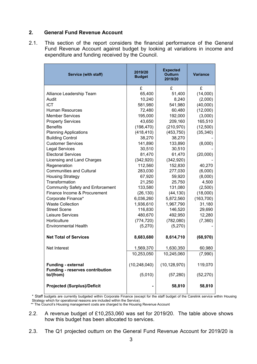#### **2. General Fund Revenue Account**

2.1. This section of the report considers the financial performance of the General Fund Revenue Account against budget by looking at variations in income and expenditure and funding received by the Council.

| Service (with staff)                                                             | 2019/20<br><b>Budget</b>  | <b>Expected</b><br><b>Outturn</b><br>2019/20 | <b>Variance</b>      |
|----------------------------------------------------------------------------------|---------------------------|----------------------------------------------|----------------------|
|                                                                                  | £                         | £                                            | £                    |
| Alliance Leadership Team                                                         | 65,400                    | 51,400                                       | (14,000)             |
| Audit                                                                            | 10,240                    | 8,240                                        | (2,000)              |
| <b>ICT</b>                                                                       | 581,980                   | 541,980                                      | (40,000)             |
| Human Resources                                                                  | 72,480                    | 60,480                                       | (12,000)             |
| <b>Member Services</b>                                                           | 195,000                   | 192,000                                      | (3,000)              |
| <b>Property Services</b>                                                         | 43,650                    | 209,160                                      | 165,510              |
| <b>Benefits</b>                                                                  | (198, 470)                | (210, 970)                                   | (12,500)             |
| <b>Planning Applications</b>                                                     | (418, 410)                | (453, 750)                                   | (35, 340)            |
| <b>Building Control</b>                                                          | 38,270                    | 38,270                                       |                      |
| <b>Customer Services</b>                                                         | 141,890                   | 133,890                                      | (8,000)              |
| <b>Legal Services</b>                                                            | 30,510                    | 30,510                                       |                      |
| <b>Electoral Services</b>                                                        | 81,470                    | 61,470                                       | (20,000)             |
| Licensing and Land Charges                                                       | (342, 920)                | (342, 920)                                   |                      |
| Regeneration                                                                     | 112,560                   | 152,830                                      | 40,270               |
| <b>Communities and Cultural</b>                                                  | 283,030                   | 277,030                                      | (6,000)              |
| <b>Housing Strategy</b>                                                          | 67,920                    | 59,920                                       | (8,000)              |
| Transformation                                                                   | 21,250                    | 25,750                                       | 4,500                |
| <b>Community Safety and Enforcement</b>                                          | 133,580                   | 131,080                                      | (2,500)              |
| Finance Income & Procurement                                                     | (26, 130)                 | (44, 130)                                    | (18,000)             |
| Corporate Finance*                                                               | 6,036,260                 | 5,872,560                                    | (163, 700)           |
| <b>Waste Collection</b>                                                          | 1,936,610                 | 1,967,790                                    | 31,180               |
| <b>Street Scene</b>                                                              | 116,830                   | 146,520                                      | 29,690               |
| Leisure Services                                                                 | 480,670                   | 492,950                                      | 12,280               |
| Horticulture                                                                     | (774, 720)                | (782,080)                                    | (7,360)              |
| <b>Environmental Health</b>                                                      | (5,270)                   | (5,270)                                      |                      |
| <b>Net Total of Services</b>                                                     | 8,683,680                 | 8,614,710                                    | (68, 970)            |
| Net Interest                                                                     | 1,569,370                 | 1,630,350                                    | 60,980               |
|                                                                                  | 10,253,050                | 10,245,060                                   | (7,990)              |
| <b>Funding - external</b><br><b>Funding - reserves contribution</b><br>to/(from) | (10, 248, 040)<br>(5,010) | (10, 128, 970)<br>(57, 280)                  | 119,070<br>(52, 270) |
| <b>Projected (Surplus)/Deficit</b>                                               |                           | 58,810                                       | 58,810               |

\* Staff budgets are currently budgeted within Corporate Finance (except for the staff budget of the Carelink service within Housing Strategy which for operational reasons are included within the Service).

\*\* The Council's Housing management costs are charged to the Housing Revenue Account

- 2.2. A revenue budget of £10,253,060 was set for 2019/20. The table above shows how this budget has been allocated to services.
- 2.3. The Q1 projected outturn on the General Fund Revenue Account for 2019/20 is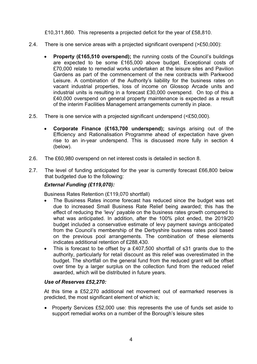£10,311,860. This represents a projected deficit for the year of £58,810.

- 2.4. There is one service areas with a projected significant overspend (>£50,000):
	- **Property (£165,510 overspend);** the running costs of the Council's buildings are expected to be some £165,000 above budget. Exceptional costs of £70,000 relate to remedial works undertaken at the leisure sites and Pavilion Gardens as part of the commencement of the new contracts with Parkwood Leisure. A combination of the Authority's liability for the business rates on vacant industrial properties, loss of income on Glossop Arcade units and industrial units is resulting in a forecast £30,000 overspend. On top of this a £40,000 overspend on general property maintenance is expected as a result of the interim Facilities Management arrangements currently in place.
- 2.5. There is one service with a projected significant underspend (<£50,000).
	- **Corporate Finance (£163,700 underspend);** savings arising out of the Efficiency and Rationalisation Programme ahead of expectation have given rise to an in-year underspend. This is discussed more fully in section 4 (below).
- 2.6. The £60,980 overspend on net interest costs is detailed in section 8.
- 2.7. The level of funding anticipated for the year is currently forecast £66,800 below that budgeted due to the following:

#### *External Funding (£119,070):*

Business Rates Retention (£119,070 shortfall)

- The Business Rates income forecast has reduced since the budget was set due to increased Small Business Rate Relief being awarded; this has the effect of reducing the 'levy' payable on the business rates growth compared to what was anticipated. In addition, after the 100% pilot ended, the 2019/20 budget included a conservative estimate of levy payment savings anticipated from the Council's membership of the Derbyshire business rates pool based on the previous pool arrangements. The combination of these elements indicates additional retention of £288,430.
- This is forecast to be offset by a £407,500 shortfall of s31 grants due to the authority, particularly for retail discount as this relief was overestimated in the budget. The shortfall on the general fund from the reduced grant will be offset over time by a larger surplus on the collection fund from the reduced relief awarded, which will be distributed in future years.

#### *Use of Reserves £52,270:*

At this time a £52,270 additional net movement out of earmarked reserves is predicted, the most significant element of which is;

• Property Services £52,000 use: this represents the use of funds set aside to support remedial works on a number of the Borough's leisure sites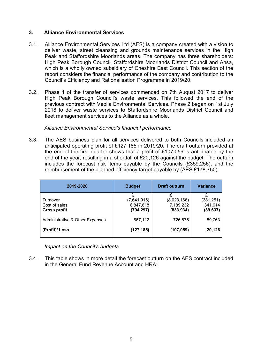#### **3. Alliance Environmental Services**

- 3.1. Alliance Environmental Services Ltd (AES) is a company created with a vision to deliver waste, street cleansing and grounds maintenance services in the High Peak and Staffordshire Moorlands areas. The company has three shareholders: High Peak Borough Council, Staffordshire Moorlands District Council and Ansa, which is a wholly owned subsidiary of Cheshire East Council. This section of the report considers the financial performance of the company and contribution to the Council's Efficiency and Rationalisation Programme in 2019/20.
- 3.2. Phase 1 of the transfer of services commenced on 7th August 2017 to deliver High Peak Borough Council's waste services. This followed the end of the previous contract with Veolia Environmental Services. Phase 2 began on 1st July 2018 to deliver waste services to Staffordshire Moorlands District Council and fleet management services to the Alliance as a whole.

#### *Alliance Environmental Service's financial performance*

3.3. The AES business plan for all services delivered to both Councils included an anticipated operating profit of £127,185 in 2019/20. The draft outturn provided at the end of the first quarter shows that a profit of £107,059 is anticipated by the end of the year; resulting in a shortfall of £20,126 against the budget. The outturn includes the forecast risk items payable by the Councils (£359,256); and the reimbursement of the planned efficiency target payable by (AES £178,750).

| 2019-2020                                        | <b>Budget</b>                               | <b>Draft outturn</b>                        | <b>Variance</b>                    |
|--------------------------------------------------|---------------------------------------------|---------------------------------------------|------------------------------------|
| Turnover<br>Cost of sales<br><b>Gross profit</b> | £<br>(7,641,915)<br>6,847,618<br>(794, 297) | £<br>(8,023,166)<br>7,189,232<br>(833, 934) | (381, 251)<br>341,614<br>(39, 637) |
| <b>Administrative &amp; Other Expenses</b>       | 667,112                                     | 726.875                                     | 59,763                             |
| (Profit)/ Loss                                   | (127, 185)                                  | (107, 059)                                  | 20,126                             |

*Impact on the Council's budgets*

3.4. This table shows in more detail the forecast outturn on the AES contract included in the General Fund Revenue Account and HRA: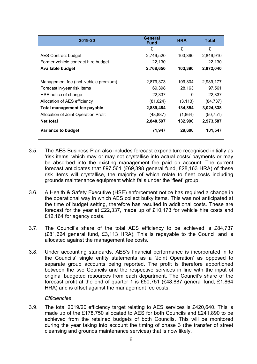| 2019-20                                | General<br><b>Fund</b> | <b>HRA</b> | Total     |
|----------------------------------------|------------------------|------------|-----------|
|                                        | £                      | £          | £         |
| <b>AES Contract budget</b>             | 2,746,520              | 103,390    | 2,849,910 |
| Former vehicle contract hire budget    | 22,130                 |            | 22,130    |
| <b>Available budget</b>                | 2,768,650              | 103,390    | 2,872,040 |
| Management fee (incl. vehicle premium) | 2,879,373              | 109,804    | 2,989,177 |
| Forecast in-year risk items            | 69,398                 | 28,163     | 97,561    |
| HSE notice of change                   | 22,337                 |            | 22,337    |
| Allocation of AES efficiency           | (81, 624)              | (3, 113)   | (84, 737) |
| Total management fee payable           | 2,889,484              | 134,854    | 3,024,338 |
| Allocation of Joint Operation Profit   | (48, 887)              | (1,864)    | (50, 751) |
| <b>Net total</b>                       | 2,840,597              | 132,990    | 2,973,587 |
| <b>Variance to budget</b>              | 71,947                 | 29,600     | 101,547   |

- 3.5. The AES Business Plan also includes forecast expenditure recognised initially as 'risk items' which may or may not crystallise into actual costs/ payments or may be absorbed into the existing management fee paid on account. The current forecast anticipates that £97,561 (£69,398 general fund, £28,163 HRA) of these risk items will crystallise, the majority of which relate to fleet costs including grounds maintenance equipment which falls under the 'fleet' group.
- 3.6. A Health & Safety Executive (HSE) enforcement notice has required a change in the operational way in which AES collect bulky items. This was not anticipated at the time of budget setting, therefore has resulted in additional costs. These are forecast for the year at £22,337, made up of £10,173 for vehicle hire costs and £12,164 for agency costs.
- 3.7. The Council's share of the total AES efficiency to be achieved is £84,737 (£81,624 general fund, £3,113 HRA). This is repayable to the Council and is allocated against the management fee costs.
- 3.8. Under accounting standards, AES's financial performance is incorporated in to the Councils' single entity statements as a 'Joint Operation' as opposed to separate group accounts being reported. The profit is therefore apportioned between the two Councils and the respective services in line with the input of original budgeted resources from each department. The Council's share of the forecast profit at the end of quarter 1 is £50,751 (£48,887 general fund, £1,864 HRA) and is offset against the management fee costs.

#### *Efficiencies*

3.9. The total 2019/20 efficiency target relating to AES services is £420,640. This is made up of the £178,750 allocated to AES for both Councils and £241,890 to be achieved from the retained budgets of both Councils. This will be monitored during the year taking into account the timing of phase 3 (the transfer of street cleansing and grounds maintenance services) that is now likely.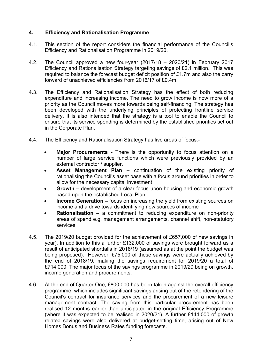#### **4. Efficiency and Rationalisation Programme**

- 4.1. This section of the report considers the financial performance of the Council's Efficiency and Rationalisation Programme in 2019/20.
- 4.2. The Council approved a new four-year (2017/18 2020/21) in February 2017 Efficiency and Rationalisation Strategy targeting savings of £2.1 million. This was required to balance the forecast budget deficit position of £1.7m and also the carry forward of unachieved efficiencies from 2016/17 of £0.4m.
- 4.3. The Efficiency and Rationalisation Strategy has the effect of both reducing expenditure and increasing income. The need to grow income is now more of a priority as the Council moves more towards being self-financing. The strategy has been developed with the underlying principles of protecting frontline service delivery. It is also intended that the strategy is a tool to enable the Council to ensure that its service spending is determined by the established priorities set out in the Corporate Plan.
- 4.4. The Efficiency and Rationalisation Strategy has five areas of focus:-
	- **Major Procurements -** There is the opportunity to focus attention on a number of large service functions which were previously provided by an external contractor / supplier.
	- **Asset Management Plan –** continuation of the existing priority of rationalising the Council's asset base with a focus around priorities in order to allow for the necessary capital investment
	- **Growth –** development of a clear focus upon housing and economic growth based upon the established Local Plan.
	- **Income Generation –** focus on increasing the yield from existing sources on income and a drive towards identifying new sources of income
	- **Rationalisation –** a commitment to reducing expenditure on non-priority areas of spend e.g. management arrangements, channel shift, non-statutory services
- 4.5. The 2019/20 budget provided for the achievement of £657,000 of new savings in year). In addition to this a further £132,000 of savings were brought forward as a result of anticipated shortfalls in 2018/19 (assumed as at the point the budget was being proposed). However, £75,000 of these savings were actually achieved by the end of 2018/19, making the savings requirement for 2019/20 a total of £714,000. The major focus of the savings programme in 2019/20 being on growth, income generation and procurements.
- 4.6. At the end of Quarter One, £800,000 has been taken against the overall efficiency programme, which includes significant savings arising out of the retendering of the Council's contract for insurance services and the procurement of a new leisure management contract. The saving from this particular procurement has been realised 12 months earlier than anticipated in the original Efficiency Programme (where it was expected to be realised in 2020/21). A further £144,000 of growth related savings were also delivered at budget-setting time, arising out of New Homes Bonus and Business Rates funding forecasts.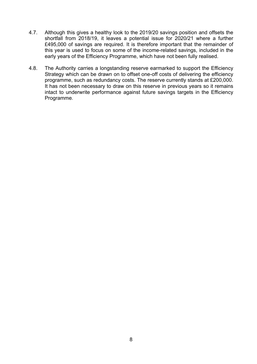- 4.7. Although this gives a healthy look to the 2019/20 savings position and offsets the shortfall from 2018/19, it leaves a potential issue for 2020/21 where a further £495,000 of savings are required. It is therefore important that the remainder of this year is used to focus on some of the income-related savings, included in the early years of the Efficiency Programme, which have not been fully realised.
- 4.8. The Authority carries a longstanding reserve earmarked to support the Efficiency Strategy which can be drawn on to offset one-off costs of delivering the efficiency programme, such as redundancy costs. The reserve currently stands at £200,000. It has not been necessary to draw on this reserve in previous years so it remains intact to underwrite performance against future savings targets in the Efficiency Programme.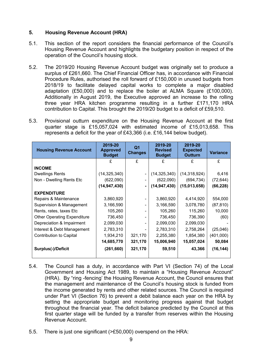#### **5. Housing Revenue Account (HRA)**

- 5.1. This section of the report considers the financial performance of the Council's Housing Revenue Account and highlights the budgetary position in respect of the operation of the Council's housing stock.
- 5.2. The 2019/20 Housing Revenue Account budget was originally set to produce a surplus of £261,660. The Chief Financial Officer has, in accordance with Financial Procedure Rules, authorised the roll forward of £150,000 in unused budgets from 2018/19 to facilitate delayed capital works to complete a major disabled adaptation (£50,000) and to replace the boiler at ALMA Square (£100,000). Additionally in August 2019, the Executive approved an increase to the rolling three year HRA kitchen programme resulting in a further £171,170 HRA contribution to Capital. This brought the 2019/20 budget to a deficit of £59,510.
- 5.3. Provisional outturn expenditure on the Housing Revenue Account at the first quarter stage is £15,057,024 with estimated income of £15,013,658. This represents a deficit for the year of £43,366 (i.e. £16,144 below budget).

| <b>Housing Revenue Account</b>     | 2019-20<br><b>Approved</b><br><b>Budget</b> | 2019-20<br>Q1<br><b>Revised</b><br><b>Changes</b><br><b>Budget</b> |                | 2019-20<br><b>Expected</b><br>Outturn |           |
|------------------------------------|---------------------------------------------|--------------------------------------------------------------------|----------------|---------------------------------------|-----------|
|                                    | £                                           | £                                                                  | £              | £                                     | £         |
| <b>INCOME</b>                      |                                             |                                                                    |                |                                       |           |
| <b>Dwellings Rents</b>             | (14, 325, 340)                              | $\overline{\phantom{0}}$                                           | (14, 325, 340) | (14, 318, 924)                        | 6,416     |
| Non - Dwelling Rents Etc           | (622,090)                                   |                                                                    | (622,090)      | (694, 734)                            | (72, 644) |
|                                    | (14, 947, 430)                              | $\blacksquare$                                                     | (14, 947, 430) | (15,013,658)                          | (66, 228) |
| <b>EXPENDITURE</b>                 |                                             |                                                                    |                |                                       |           |
| Repairs & Maintenance              | 3,860,920                                   |                                                                    | 3,860,920      | 4,414,920                             | 554,000   |
| Supervision & Management           | 3,166,590                                   |                                                                    | 3,166,590      | 3,078,780                             | (87, 810) |
| Rents, rates, taxes Etc.           | 105,260                                     |                                                                    | 105,260        | 115,260                               | 10,000    |
| <b>Other Operating Expenditure</b> | 736,450                                     |                                                                    | 736,450        | 736,390                               | (60)      |
| Depreciation & Impairment          | 2,099,030                                   |                                                                    | 2,099,030      | 2,099,030                             |           |
| Interest & Debt Management         | 2,783,310                                   |                                                                    | 2,783,310      | 2,758,264                             | (25,046)  |
| <b>Contribution to Capital</b>     | 1,934,210                                   | 321,170                                                            | 2,255,380      | 1,854,380                             | (401,000) |
|                                    | 14,685,770                                  | 321,170                                                            | 15,006,940     | 15,057,024                            | 50,084    |
| <b>Surplus(-)/Deficit</b>          | (261, 660)                                  | 321,170                                                            | 59,510         | 43,366                                | (16, 144) |

- 5.4. The Council has a duty, in accordance with Part VI (Section 74) of the Local Government and Housing Act 1989, to maintain a "Housing Revenue Account" (HRA). By "ring -fencing' the Housing Revenue Account, the Council ensures that the management and maintenance of the Council's housing stock is funded from the income generated by rents and other related sources. The Council is required under Part VI (Section 76) to prevent a debit balance each year on the HRA by setting the appropriate budget and monitoring progress against that budget throughout the financial year. The deficit balance predicted by the Council at this first quarter stage will be funded by a transfer from reserves within the Housing Revenue Account.
- 5.5. There is just one significant (>£50,000) overspend on the HRA: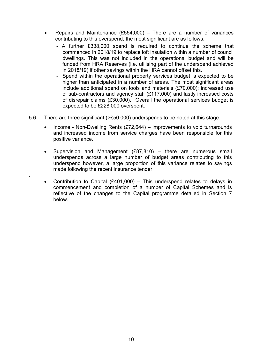- Repairs and Maintenance  $(E554,000)$  There are a number of variances contributing to this overspend; the most significant are as follows:
	- A further £338,000 spend is required to continue the scheme that commenced in 2018/19 to replace loft insulation within a number of council dwellings. This was not included in the operational budget and will be funded from HRA Reserves (i.e. utilising part of the underspend achieved in 2018/19) if other savings within the HRA cannot offset this.
	- Spend within the operational property services budget is expected to be higher than anticipated in a number of areas. The most significant areas include additional spend on tools and materials (£70,000); increased use of sub-contractors and agency staff (£117,000) and lastly increased costs of disrepair claims (£30,000). Overall the operational services budget is expected to be £228,000 overspent.
- 5.6. There are three significant (>£50,000) underspends to be noted at this stage.

.

- Income Non-Dwelling Rents (£72,644) improvements to void turnarounds and increased income from service charges have been responsible for this positive variance.
- Supervision and Management (£87,810) there are numerous small underspends across a large number of budget areas contributing to this underspend however, a large proportion of this variance relates to savings made following the recent insurance tender.
- Contribution to Capital (£401,000) This underspend relates to delays in commencement and completion of a number of Capital Schemes and is reflective of the changes to the Capital programme detailed in Section 7 below.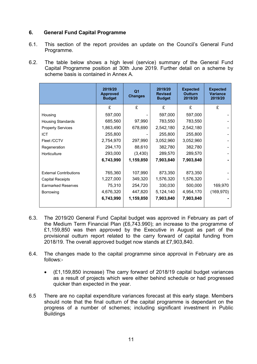#### **6. General Fund Capital Programme**

- 6.1. This section of the report provides an update on the Council's General Fund Programme.
- 6.2. The table below shows a high level (service) summary of the General Fund Capital Programme position at 30th June 2019. Further detail on a scheme by scheme basis is contained in Annex A.

|                               | 2019/20<br><b>Approved</b><br><b>Budget</b> | Q <sub>1</sub><br><b>Changes</b> | 2019/20<br><b>Revised</b><br><b>Budget</b> | <b>Expected</b><br><b>Outturn</b><br>2019/20 | <b>Expected</b><br><b>Variance</b><br>2019/20 |
|-------------------------------|---------------------------------------------|----------------------------------|--------------------------------------------|----------------------------------------------|-----------------------------------------------|
|                               | £                                           | £                                | £                                          | £                                            | £                                             |
| Housing                       | 597,000                                     |                                  | 597,000                                    | 597,000                                      |                                               |
| <b>Housing Standards</b>      | 685,560                                     | 97,990                           | 783,550                                    | 783,550                                      |                                               |
| <b>Property Services</b>      | 1,863,490                                   | 678,690                          | 2,542,180                                  | 2,542,180                                    |                                               |
| <b>ICT</b>                    | 255,800                                     |                                  | 255,800                                    | 255,800                                      |                                               |
| Fleet /CCTV                   | 2,754,970                                   | 297,990                          | 3,052,960                                  | 3,052,960                                    |                                               |
| Regeneration                  | 294,170                                     | 88,610                           | 382,780                                    | 382,780                                      |                                               |
| Horticulture                  | 293,000                                     | (3, 430)                         | 289,570                                    | 289,570                                      |                                               |
|                               | 6,743,990                                   | 1,159,850                        | 7,903,840                                  | 7,903,840                                    |                                               |
|                               |                                             |                                  |                                            |                                              |                                               |
| <b>External Contributions</b> | 765,360                                     | 107,990                          | 873,350                                    | 873,350                                      |                                               |
| <b>Capital Receipts</b>       | 1,227,000                                   | 349,320                          | 1,576,320                                  | 1,576,320                                    |                                               |
| <b>Earmarked Reserves</b>     | 75,310                                      | 254,720                          | 330,030                                    | 500,000                                      | 169,970                                       |
| Borrowing                     | 4,676,320                                   | 447,820                          | 5,124,140                                  | 4,954,170                                    | (169, 970)                                    |
|                               | 6,743,990                                   | 1,159,850                        | 7,903,840                                  | 7,903,840                                    |                                               |

- 6.3. The 2019/20 General Fund Capital budget was approved in February as part of the Medium Term Financial Plan (£6,743.990); an increase to the programme of £1,159,850 was then approved by the Executive in August as part of the provisional outturn report related to the carry forward of capital funding from 2018/19. The overall approved budget now stands at £7,903,840.
- 6.4. The changes made to the capital programme since approval in February are as follows:-
	- (£1,159,850 increase) The carry forward of 2018/19 capital budget variances as a result of projects which were either behind schedule or had progressed quicker than expected in the year.
- 6.5 There are no capital expenditure variances forecast at this early stage. Members should note that the final outturn of the capital programme is dependant on the progress of a number of schemes; including significant investment in Public **Buildings**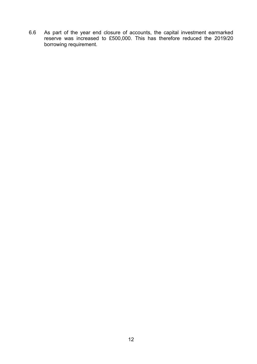6.6 As part of the year end closure of accounts, the capital investment earmarked reserve was increased to £500,000. This has therefore reduced the 2019/20 borrowing requirement.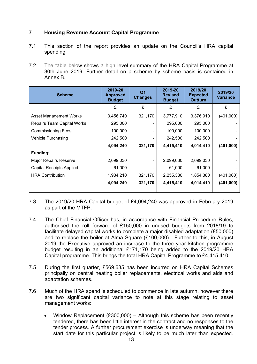#### **7 Housing Revenue Account Capital Programme**

- 7.1 This section of the report provides an update on the Council's HRA capital spending.
- 7.2 The table below shows a high level summary of the HRA Capital Programme at 30th June 2019. Further detail on a scheme by scheme basis is contained in Annex B.

| <b>Scheme</b>                     | 2019-20<br><b>Approved</b><br><b>Budget</b> | Q <sub>1</sub><br><b>Changes</b> | 2019-20<br><b>Revised</b><br><b>Budget</b> | 2019/20<br><b>Expected</b><br><b>Outturn</b> | 2019/20<br><b>Variance</b> |
|-----------------------------------|---------------------------------------------|----------------------------------|--------------------------------------------|----------------------------------------------|----------------------------|
|                                   | £                                           | £                                | £                                          | £                                            | £                          |
| <b>Asset Management Works</b>     | 3,456,740                                   | 321,170                          | 3,777,910                                  | 3,376,910                                    | (401,000)                  |
| <b>Repairs Team Capital Works</b> | 295,000                                     | $\overline{\phantom{0}}$         | 295,000                                    | 295,000                                      |                            |
| <b>Commissioning Fees</b>         | 100,000                                     | -                                | 100,000                                    | 100,000                                      |                            |
| <b>Vehicle Purchasing</b>         | 242,500                                     |                                  | 242,500                                    | 242,500                                      |                            |
|                                   | 4,094,240                                   | 321,170                          | 4,415,410                                  | 4,014,410                                    | (401,000)                  |
| Funding:                          |                                             |                                  |                                            |                                              |                            |
| <b>Major Repairs Reserve</b>      | 2,099,030                                   | -                                | 2,099,030                                  | 2,099,030                                    |                            |
| <b>Capital Receipts Applied</b>   | 61,000                                      |                                  | 61,000                                     | 61,000                                       |                            |
| <b>HRA Contribution</b>           | 1,934,210                                   | 321,170                          | 2,255,380                                  | 1,854,380                                    | (401,000)                  |
|                                   | 4,094,240                                   | 321,170                          | 4,415,410                                  | 4,014,410                                    | (401,000)                  |

- 7.3 The 2019/20 HRA Capital budget of £4,094,240 was approved in February 2019 as part of the MTFP.
- 7.4 The Chief Financial Officer has, in accordance with Financial Procedure Rules, authorised the roll forward of £150,000 in unused budgets from 2018/19 to facilitate delayed capital works to complete a major disabled adaptation (£50,000) and to replace the boiler at Alma Square (£100,000). Further to this, in August 2019 the Executive approved an increase to the three year kitchen programme budget resulting in an additional £171,170 being added to the 2019/20 HRA Capital programme. This brings the total HRA Capital Programme to £4,415,410.
- 7.5 During the first quarter, £569,635 has been incurred on HRA Capital Schemes principally on central heating boiler replacements, electrical works and aids and adaptation schemes.
- 7.6 Much of the HRA spend is scheduled to commence in late autumn, however there are two significant capital variance to note at this stage relating to asset management works:
	- Window Replacement (£300,000) Although this scheme has been recently tendered, there has been little interest in the contract and no responses to the tender process. A further procurement exercise is underway meaning that the start date for this particular project is likely to be much later than expected.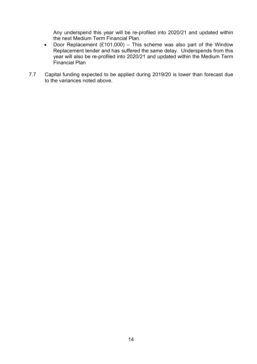Any underspend this year will be re-profiled into 2020/21 and updated within the next Medium Term Financial Plan.

- Door Replacement  $(E101,000)$  This scheme was also part of the Window Replacement tender and has suffered the same delay. Underspends from this year will also be re-profiled into 2020/21 and updated within the Medium Term Financial Plan
- 7.7 Capital funding expected to be applied during 2019/20 is lower than forecast due to the variances noted above.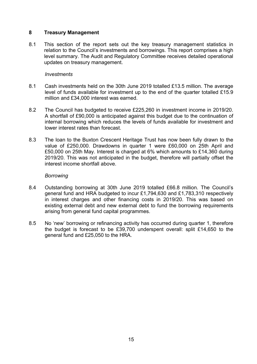#### **8 Treasury Management**

8.1 This section of the report sets out the key treasury management statistics in relation to the Council's investments and borrowings. This report comprises a high level summary. The Audit and Regulatory Committee receives detailed operational updates on treasury management.

#### *Investments*

- 8.1 Cash investments held on the 30th June 2019 totalled £13.5 million. The average level of funds available for investment up to the end of the quarter totalled £15.9 million and £34,000 interest was earned.
- 8.2 The Council has budgeted to receive £225,260 in investment income in 2019/20. A shortfall of £90,000 is anticipated against this budget due to the continuation of internal borrowing which reduces the levels of funds available for investment and lower interest rates than forecast.
- 8.3 The loan to the Buxton Crescent Heritage Trust has now been fully drawn to the value of £250,000. Drawdowns in quarter 1 were £60,000 on 25th April and £50,000 on 25th May. Interest is charged at 6% which amounts to £14,360 during 2019/20. This was not anticipated in the budget, therefore will partially offset the interest income shortfall above.

#### *Borrowing*

- 8.4 Outstanding borrowing at 30th June 2019 totalled £66.8 million. The Council's general fund and HRA budgeted to incur £1,794,630 and £1,783,310 respectively in interest charges and other financing costs in 2019/20. This was based on existing external debt and new external debt to fund the borrowing requirements arising from general fund capital programmes.
- 8.5 No 'new' borrowing or refinancing activity has occurred during quarter 1, therefore the budget is forecast to be £39,700 underspent overall: split £14,650 to the general fund and £25,050 to the HRA.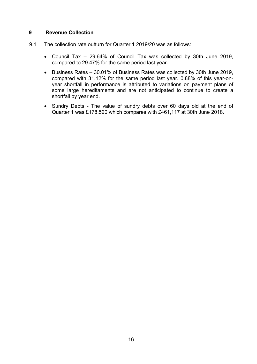#### **9 Revenue Collection**

- 9.1 The collection rate outturn for Quarter 1 2019/20 was as follows:
	- Council Tax 29.64% of Council Tax was collected by 30th June 2019, compared to 29.47% for the same period last year.
	- Business Rates 30.01% of Business Rates was collected by 30th June 2019, compared with 31.12% for the same period last year. 0.88% of this year-onyear shortfall in performance is attributed to variations on payment plans of some large hereditaments and are not anticipated to continue to create a shortfall by year end.
	- Sundry Debts The value of sundry debts over 60 days old at the end of Quarter 1 was £178,520 which compares with £461,117 at 30th June 2018.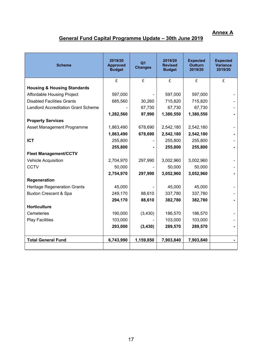### **Annex A**

## **General Fund Capital Programme Update – 30th June 2019**

| <b>Scheme</b>                              | 2019/20<br><b>Approved</b><br><b>Budget</b> | Q <sub>1</sub><br><b>Changes</b> |           | <b>Expected</b><br><b>Outturn</b><br>2019/20 | <b>Expected</b><br><b>Variance</b><br>2019/20 |
|--------------------------------------------|---------------------------------------------|----------------------------------|-----------|----------------------------------------------|-----------------------------------------------|
|                                            | £                                           | £                                | £         | £                                            | £                                             |
| <b>Housing &amp; Housing Standards</b>     |                                             |                                  |           |                                              |                                               |
| Affordable Housing Project                 | 597,000                                     |                                  | 597,000   | 597,000                                      |                                               |
| <b>Disabled Facilities Grants</b>          | 685,560                                     | 30,260                           | 715,820   | 715,820                                      |                                               |
| <b>Landlord Accreditation Grant Scheme</b> |                                             | 67,730                           | 67,730    | 67,730                                       |                                               |
|                                            | 1,282,560                                   | 97,990                           | 1,380,550 | 1,380,550                                    |                                               |
| <b>Property Services</b>                   |                                             |                                  |           |                                              |                                               |
| Asset Management Programme                 | 1,863,490                                   | 678,690                          | 2,542,180 | 2,542,180                                    |                                               |
|                                            | 1,863,490                                   | 678,690                          | 2,542,180 | 2,542,180                                    |                                               |
| <b>ICT</b>                                 | 255,800                                     |                                  | 255,800   | 255,800                                      |                                               |
|                                            | 255,800                                     |                                  | 255,800   | 255,800                                      |                                               |
| <b>Fleet Management/CCTV</b>               |                                             |                                  |           |                                              |                                               |
| Vehicle Acquisition                        | 2,704,970                                   | 297,990                          | 3,002,960 | 3,002,960                                    |                                               |
| <b>CCTV</b>                                | 50,000                                      |                                  | 50,000    | 50,000                                       |                                               |
|                                            | 2,754,970                                   | 297,990                          | 3,052,960 | 3,052,960                                    |                                               |
| Regeneration                               |                                             |                                  |           |                                              |                                               |
| <b>Heritage Regeneration Grants</b>        | 45,000                                      |                                  | 45,000    | 45,000                                       |                                               |
| <b>Buxton Crescent &amp; Spa</b>           | 249,170                                     | 88,610                           | 337,780   | 337,780                                      |                                               |
|                                            | 294,170                                     | 88,610                           | 382,780   | 382,780                                      |                                               |
| <b>Horticulture</b>                        |                                             |                                  |           |                                              |                                               |
| Cemeteries                                 | 190,000                                     | (3,430)                          | 186,570   | 186,570                                      |                                               |
| <b>Play Facilities</b>                     | 103,000                                     |                                  | 103,000   | 103,000                                      |                                               |
|                                            | 293,000                                     | (3, 430)                         | 289,570   | 289,570                                      |                                               |
|                                            |                                             |                                  |           |                                              |                                               |
| <b>Total General Fund</b>                  | 6,743,990                                   | 1,159,850                        | 7,903,840 | 7,903,840                                    |                                               |
|                                            |                                             |                                  |           |                                              |                                               |